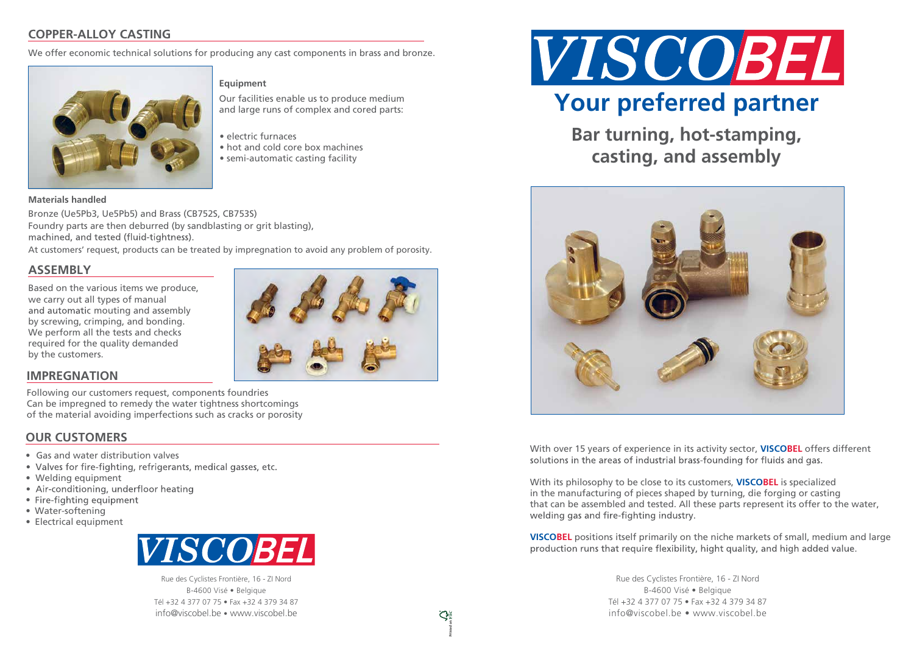# **COPPER-ALLOY CASTING**

We offer economic technical solutions for producing any cast components in brass and bronze.



## **Equipment**

Bronze (Ue5Pb3, Ue5Pb5) and Brass (CB752S, CB753S) Foundry parts are then deburred (by sandblasting or grit blasting), machined, and tested (fluid-tightness).

Our facilities enable us to produce medium and large runs of complex and cored parts:

Based on the various items we produce, we carry out all types of manual by screwing, crimping, and bonding. We perform all the tests and checks required for the quality demanded by the customers. and automatic mouting and assembly



- electric furnaces
- hot and cold core box machines
- semi-automatic casting facility

#### **Materials handled**

At customers' request, products can be treated by impregnation to avoid any problem of porosity.

## **ASSEMBLY**

- Gas and water distribution valves
- Valves for fire-fighting, refrigerants, medical gasses, etc.
- Welding equipment
- Air-conditioning, underfloor heating
- Fire-fighting equipment
- Water-softening
- Electrical equipment



With over 15 years of experience in its activity sector, **VISCOBEL** offers different solutions in the areas of industrial brass-founding for fluids and gas.

Rue des Cyclistes Frontière, 16 - ZI Nord B-4600 Visé • Belgique Tél +32 4 377 07 75 • Fax +32 4 379 34 87 info@viscobel.be • www.viscobel.be

With its philosophy to be close to its customers, **VISCOBEL** is specialized in the manufacturing of pieces shaped by turning, die forging or casting that can be assembled and tested. All these parts represent its offer to the water, welding gas and fire-fighting industry.

**VISCOBEL** positions itself primarily on the niche markets of small, medium and largeproduction runs that require flexibility, hight quality, and high added value.

> Rue des Cyclistes Frontière, 16 - ZI Nord B-4600 Visé • Belgique Tél +32 4 377 07 75 • Fax +32 4 379 34 87 info@viscobel.be • www.viscobel.be

 $\mathbb{C}^3$ 

**Bar turning, hot-stamping, casting, and assembly**





## **OUR CUSTOMERS**

## **IMPREGNATION**

Following our customers request, components foundries Can be impregned to remedy the water tightness shortcomings of the material avoiding imperfections such as cracks or porosity